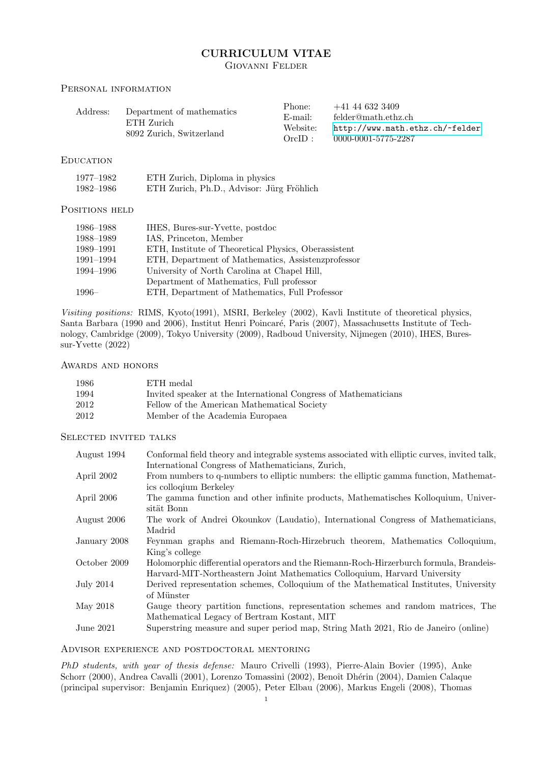# CURRICULUM VITAE Giovanni Felder

## PERSONAL INFORMATION

| Address: | Department of mathematics<br>ETH Zurich<br>8092 Zurich, Switzerland | Phone:     | $+41\ 44\ 632\ 3409$            |
|----------|---------------------------------------------------------------------|------------|---------------------------------|
|          |                                                                     | $E$ -mail: | felder@math.ethz.ch             |
|          |                                                                     | Website:   | http://www.math.ethz.ch/~felder |
|          |                                                                     | $OrclD$ :  | 0000-0001-5775-2287             |

## **EDUCATION**

| 1977–1982 | ETH Zurich, Diploma in physics            |  |
|-----------|-------------------------------------------|--|
| 1982–1986 | ETH Zurich, Ph.D., Advisor: Jürg Fröhlich |  |

## POSITIONS HELD

| 1986–1988 | IHES, Bures-sur-Yvette, postdoc                      |
|-----------|------------------------------------------------------|
| 1988-1989 | IAS, Princeton, Member                               |
| 1989-1991 | ETH, Institute of Theoretical Physics, Oberassistent |
| 1991-1994 | ETH, Department of Mathematics, Assistenzprofessor   |
| 1994–1996 | University of North Carolina at Chapel Hill,         |
|           | Department of Mathematics, Full professor            |
| $1996-$   | ETH, Department of Mathematics, Full Professor       |

Visiting positions: RIMS, Kyoto(1991), MSRI, Berkeley (2002), Kavli Institute of theoretical physics, Santa Barbara (1990 and 2006), Institut Henri Poincaré, Paris (2007), Massachusetts Institute of Technology, Cambridge (2009), Tokyo University (2009), Radboud University, Nijmegen (2010), IHES, Buressur-Yvette (2022)

## AWARDS AND HONORS

| 1986 | ETH medal                                                       |
|------|-----------------------------------------------------------------|
| 1994 | Invited speaker at the International Congress of Mathematicians |
| 2012 | Fellow of the American Mathematical Society                     |
| 2012 | Member of the Academia Europaea                                 |

## Selected invited talks

| August 1994  | Conformal field theory and integrable systems associated with elliptic curves, invited talk, |
|--------------|----------------------------------------------------------------------------------------------|
|              | International Congress of Mathematicians, Zurich,                                            |
| April 2002   | From numbers to q-numbers to elliptic numbers: the elliptic gamma function, Mathemat-        |
|              | ics collogium Berkeley                                                                       |
| April 2006   | The gamma function and other infinite products, Mathematisches Kolloquium, Univer-           |
|              | sität Bonn                                                                                   |
| August 2006  | The work of Andrei Okounkov (Laudatio), International Congress of Mathematicians,            |
|              | Madrid                                                                                       |
| January 2008 | Feynman graphs and Riemann-Roch-Hirzebruch theorem, Mathematics Colloquium,                  |
|              | King's college                                                                               |
| October 2009 | Holomorphic differential operators and the Riemann-Roch-Hirzerburch formula, Brandeis-       |
|              | Harvard-MIT-Northeastern Joint Mathematics Colloquium, Harvard University                    |
| July 2014    | Derived representation schemes, Colloquium of the Mathematical Institutes, University        |
|              | of Münster                                                                                   |
| May 2018     | Gauge theory partition functions, representation schemes and random matrices, The            |
|              | Mathematical Legacy of Bertram Kostant, MIT                                                  |
| June 2021    | Superstring measure and super period map, String Math 2021, Rio de Janeiro (online)          |
|              |                                                                                              |

## Advisor experience and postdoctoral mentoring

PhD students, with year of thesis defense: Mauro Crivelli (1993), Pierre-Alain Bovier (1995), Anke Schorr (2000), Andrea Cavalli (2001), Lorenzo Tomassini (2002), Benoît Dhérin (2004), Damien Calaque (principal supervisor: Benjamin Enriquez) (2005), Peter Elbau (2006), Markus Engeli (2008), Thomas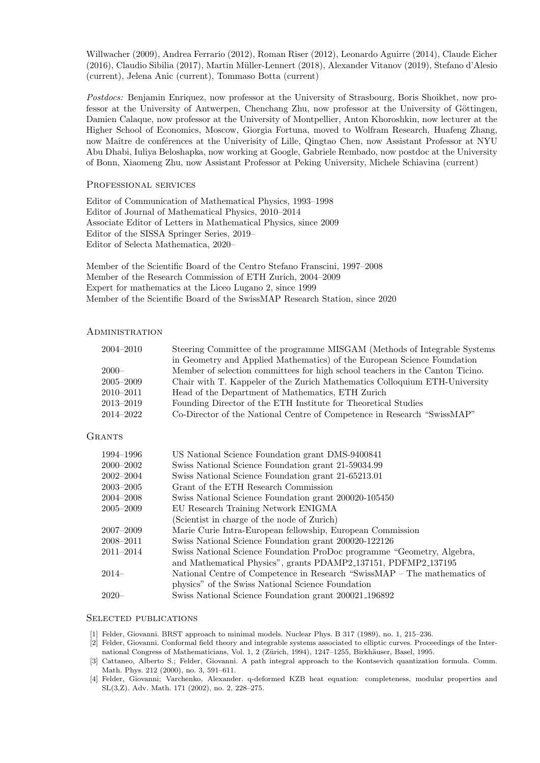Willwacher (2009), Andrea Ferrario (2012), Roman Riser (2012), Leonardo Aguirre (2014), Claude Eicher (2016), Claudio Sibilia (2017), Martin M¨uller-Lennert (2018), Alexander Vitanov (2019), Stefano d'Alesio (current), Jelena Anic (current), Tommaso Botta (current)

Postdocs: Benjamin Enriquez, now professor at the University of Strasbourg, Boris Shoikhet, now professor at the University of Antwerpen, Chenchang Zhu, now professor at the University of Göttingen, Damien Calaque, now professor at the University of Montpellier, Anton Khoroshkin, now lecturer at the Higher School of Economics, Moscow, Giorgia Fortuna, moved to Wolfram Research, Huafeng Zhang, now Maître de conférences at the Univerisity of Lille, Qingtao Chen, now Assistant Professor at NYU Abu Dhabi, Iuliya Beloshapka, now working at Google, Gabriele Rembado, now postdoc at the University of Bonn, Xiaomeng Zhu, now Assistant Professor at Peking University, Michele Schiavina (current)

## PROFESSIONAL SERVICES

Editor of Communication of Mathematical Physics, 1993–1998 Editor of Journal of Mathematical Physics, 2010–2014 Associate Editor of Letters in Mathematical Physics, since 2009 Editor of the SISSA Springer Series, 2019– Editor of Selecta Mathematica, 2020–

Member of the Scientific Board of the Centro Stefano Franscini, 1997–2008 Member of the Research Commission of ETH Zurich, 2004–2009 Expert for mathematics at the Liceo Lugano 2, since 1999 Member of the Scientific Board of the SwissMAP Research Station, since 2020

### **ADMINISTRATION**

| $2004 - 2010$ | Steering Committee of the programme MISGAM (Methods of Integrable Systems)    |
|---------------|-------------------------------------------------------------------------------|
|               | in Geometry and Applied Mathematics) of the European Science Foundation       |
| $2000 -$      | Member of selection committees for high school teachers in the Canton Ticino. |
| $2005 - 2009$ | Chair with T. Kappeler of the Zurich Mathematics Colloquium ETH-University    |
| $2010 - 2011$ | Head of the Department of Mathematics, ETH Zurich                             |
| $2013 - 2019$ | Founding Director of the ETH Institute for Theoretical Studies                |
| 2014–2022     | Co-Director of the National Centre of Competence in Research "SwissMAP"       |

### **GRANTS**

| 1994–1996     | US National Science Foundation grant DMS-9400841                         |
|---------------|--------------------------------------------------------------------------|
| $2000 - 2002$ | Swiss National Science Foundation grant 21-59034.99                      |
| $2002 - 2004$ | Swiss National Science Foundation grant 21-65213.01                      |
| $2003 - 2005$ | Grant of the ETH Research Commission                                     |
| $2004 - 2008$ | Swiss National Science Foundation grant 200020-105450                    |
| $2005 - 2009$ | EU Research Training Network ENIGMA                                      |
|               | (Scientist in charge of the node of Zurich)                              |
| 2007–2009     | Marie Curie Intra-European fellowship, European Commission               |
| 2008–2011     | Swiss National Science Foundation grant 200020-122126                    |
| $2011 - 2014$ | Swiss National Science Foundation ProDoc programme "Geometry, Algebra,   |
|               | and Mathematical Physics", grants PDAMP2_137151, PDFMP2_137195           |
| $2014-$       | National Centre of Competence in Research "SwissMAP – The mathematics of |
|               | physics" of the Swiss National Science Foundation                        |
| $2020 -$      | Swiss National Science Foundation grant 200021_196892                    |

### Selected publications

- [1] Felder, Giovanni. BRST approach to minimal models. Nuclear Phys. B 317 (1989), no. 1, 215–236.
- [2] Felder, Giovanni. Conformal field theory and integrable systems associated to elliptic curves. Proceedings of the International Congress of Mathematicians, Vol. 1, 2 (Zürich, 1994), 1247–1255, Birkhäuser, Basel, 1995.
- [3] Cattaneo, Alberto S.; Felder, Giovanni. A path integral approach to the Kontsevich quantization formula. Comm. Math. Phys. 212 (2000), no. 3, 591–611.
- [4] Felder, Giovanni; Varchenko, Alexander. q-deformed KZB heat equation: completeness, modular properties and SL(3,Z). Adv. Math. 171 (2002), no. 2, 228–275.